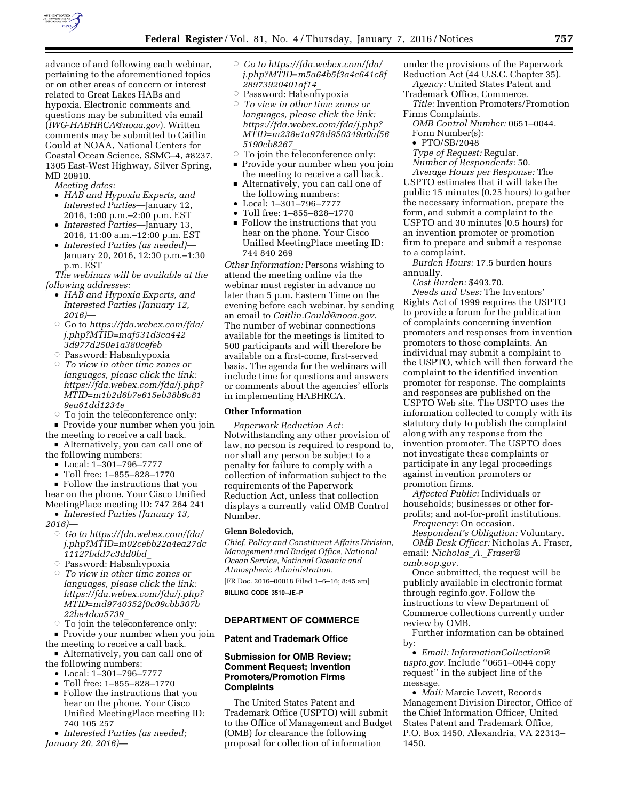

advance of and following each webinar, pertaining to the aforementioned topics or on other areas of concern or interest related to Great Lakes HABs and hypoxia. Electronic comments and questions may be submitted via email (*[IWG-HABHRCA@noaa.gov](mailto:IWG-HABHRCA@noaa.gov)*). Written comments may be submitted to Caitlin Gould at NOAA, National Centers for Coastal Ocean Science, SSMC–4, #8237, 1305 East-West Highway, Silver Spring, MD 20910.

*Meeting dates:* 

- *HAB and Hypoxia Experts, and Interested Parties*—January 12, 2016, 1:00 p.m.–2:00 p.m. EST
- *Interested Parties*—January 13, 2016, 11:00 a.m.–12:00 p.m. EST
- *Interested Parties (as needed)* January 20, 2016, 12:30 p.m.–1:30 p.m. EST

*The webinars will be available at the following addresses:* 

- *HAB and Hypoxia Experts, and Interested Parties (January 12, 2016)*—
- Æ Go to *[https://fda.webex.com/fda/](https://fda.webex.com/fda/j.php?MTID=maf531d3ea4423d977d250e1a380cefeb) [j.php?MTID=maf531d3ea442](https://fda.webex.com/fda/j.php?MTID=maf531d3ea4423d977d250e1a380cefeb) [3d977d250e1a380cefeb](https://fda.webex.com/fda/j.php?MTID=maf531d3ea4423d977d250e1a380cefeb)*
- $\circ$  Password: Habsnhypoxia
- Æ *To view in other time zones or languages, please click the link: [https://fda.webex.com/fda/j.php?](https://fda.webex.com/fda/j.php?MTID=m1b2d6b7e615eb38b9c819ea61dd1234e_) [MTID=m1b2d6b7e615eb38b9c81](https://fda.webex.com/fda/j.php?MTID=m1b2d6b7e615eb38b9c819ea61dd1234e_) [9ea61dd1234e](https://fda.webex.com/fda/j.php?MTID=m1b2d6b7e615eb38b9c819ea61dd1234e_)*\_
- $\circ$  To join the teleconference only:
- Provide your number when you join

the meeting to receive a call back.  $\blacksquare$  Alternatively, you can call one of

- the following numbers:
	- Local: 1–301–796–7777
	- Toll free: 1–855–828–1770

 $\blacksquare$  Follow the instructions that you hear on the phone. Your Cisco Unified MeetingPlace meeting ID: 747 264 241

• *Interested Parties (January 13, 2016)*—

- Æ *Go to [https://fda.webex.com/fda/](https://fda.webex.com/fda/j.php?MTID=m02cebb22a4ea27dc11127bdd7c3dd0bd_) [j.php?MTID=m02cebb22a4ea27dc](https://fda.webex.com/fda/j.php?MTID=m02cebb22a4ea27dc11127bdd7c3dd0bd_) [11127bdd7c3dd0bd](https://fda.webex.com/fda/j.php?MTID=m02cebb22a4ea27dc11127bdd7c3dd0bd_)*\_
- $\circ$  Password: Habsnhy $\bar{\text{p}}$ oxia
- Æ *To view in other time zones or languages, please click the link: [https://fda.webex.com/fda/j.php?](https://fda.webex.com/fda/j.php?MTID=md9740352f0c09cbb307b22be4dca5739_) [MTID=md9740352f0c09cbb307b](https://fda.webex.com/fda/j.php?MTID=md9740352f0c09cbb307b22be4dca5739_) [22be4dca5739](https://fda.webex.com/fda/j.php?MTID=md9740352f0c09cbb307b22be4dca5739_)*\_
- $\circ$  To join the teleconference only:

• Provide your number when you join the meeting to receive a call back.

- Alternatively, you can call one of the following numbers:
	- Local: 1–301–796–7777
	-
	- Toll free: 1–855–828–1770 Follow the instructions that you hear on the phone. Your Cisco Unified MeetingPlace meeting ID: 740 105 257
- *Interested Parties (as needed; January 20, 2016)*—
- Æ *Go to [https://fda.webex.com/fda/](https://fda.webex.com/fda/j.php?MTID=m5a64b5f3a4c641c8f28973920401af14_) [j.php?MTID=m5a64b5f3a4c641c8f](https://fda.webex.com/fda/j.php?MTID=m5a64b5f3a4c641c8f28973920401af14_) [28973920401af14](https://fda.webex.com/fda/j.php?MTID=m5a64b5f3a4c641c8f28973920401af14_)*\_
- $\circ$  Password: Habsnhypoxia Æ *To view in other time zones or languages, please click the link: [https://fda.webex.com/fda/j.php?](https://fda.webex.com/fda/j.php?MTID=m238e1a978d950349a0af565190eb8267_) [MTID=m238e1a978d950349a0af56](https://fda.webex.com/fda/j.php?MTID=m238e1a978d950349a0af565190eb8267_) [5190eb8267](https://fda.webex.com/fda/j.php?MTID=m238e1a978d950349a0af565190eb8267_)*\_
- $\circ$  To join the teleconference only:
- Provide your number when you join the meeting to receive a call back.
- Alternatively, you can call one of the following numbers:
- Local: 1–301–796–7777
- Toll free: 1–855–828–1770  $\blacksquare$  Follow the instructions that you hear on the phone. Your Cisco Unified MeetingPlace meeting ID: 744 840 269

*Other Information:* Persons wishing to attend the meeting online via the webinar must register in advance no later than 5 p.m. Eastern Time on the evening before each webinar, by sending an email to *[Caitlin.Gould@noaa.gov.](mailto:Caitlin.Gould@noaa.gov)*  The number of webinar connections available for the meetings is limited to 500 participants and will therefore be available on a first-come, first-served basis. The agenda for the webinars will include time for questions and answers or comments about the agencies' efforts in implementing HABHRCA.

### **Other Information**

*Paperwork Reduction Act:*  Notwithstanding any other provision of law, no person is required to respond to, nor shall any person be subject to a penalty for failure to comply with a collection of information subject to the requirements of the Paperwork Reduction Act, unless that collection displays a currently valid OMB Control Number.

## **Glenn Boledovich,**

*Chief, Policy and Constituent Affairs Division, Management and Budget Office, National Ocean Service, National Oceanic and Atmospheric Administration.* 

[FR Doc. 2016–00018 Filed 1–6–16; 8:45 am] **BILLING CODE 3510–JE–P** 

#### **DEPARTMENT OF COMMERCE**

### **Patent and Trademark Office**

## **Submission for OMB Review; Comment Request; Invention Promoters/Promotion Firms Complaints**

The United States Patent and Trademark Office (USPTO) will submit to the Office of Management and Budget (OMB) for clearance the following proposal for collection of information

under the provisions of the Paperwork Reduction Act (44 U.S.C. Chapter 35).

- *Agency:* United States Patent and Trademark Office, Commerce. *Title:* Invention Promoters/Promotion
- Firms Complaints.
- *OMB Control Number:* 0651–0044. Form Number(s):
- PTO/SB/2048
- *Type of Request:* Regular.

*Number of Respondents:* 50.

*Average Hours per Response:* The USPTO estimates that it will take the public 15 minutes (0.25 hours) to gather the necessary information, prepare the form, and submit a complaint to the USPTO and 30 minutes (0.5 hours) for an invention promoter or promotion firm to prepare and submit a response to a complaint.

*Burden Hours:* 17.5 burden hours annually.

*Cost Burden:* \$493.70.

*Needs and Uses:* The Inventors' Rights Act of 1999 requires the USPTO to provide a forum for the publication of complaints concerning invention promoters and responses from invention promoters to those complaints. An individual may submit a complaint to the USPTO, which will then forward the complaint to the identified invention promoter for response. The complaints and responses are published on the USPTO Web site. The USPTO uses the information collected to comply with its statutory duty to publish the complaint along with any response from the invention promoter. The USPTO does not investigate these complaints or participate in any legal proceedings against invention promoters or promotion firms.

*Affected Public:* Individuals or households; businesses or other forprofits; and not-for-profit institutions.

*Frequency:* On occasion.

*Respondent's Obligation:* Voluntary. *OMB Desk Officer:* Nicholas A. Fraser, email: *[Nicholas](mailto:Nicholas_A._Fraser@omb.eop.gov)*\_*A.*\_*Fraser@ [omb.eop.gov.](mailto:Nicholas_A._Fraser@omb.eop.gov)* 

Once submitted, the request will be publicly available in electronic format through reginfo.gov. Follow the instructions to view Department of Commerce collections currently under review by OMB.

Further information can be obtained by:

• *Email: [InformationCollection@](mailto:InformationCollection@uspto.gov) [uspto.gov.](mailto:InformationCollection@uspto.gov)* Include ''0651–0044 copy request'' in the subject line of the message.

• *Mail:* Marcie Lovett, Records Management Division Director, Office of the Chief Information Officer, United States Patent and Trademark Office, P.O. Box 1450, Alexandria, VA 22313– 1450.